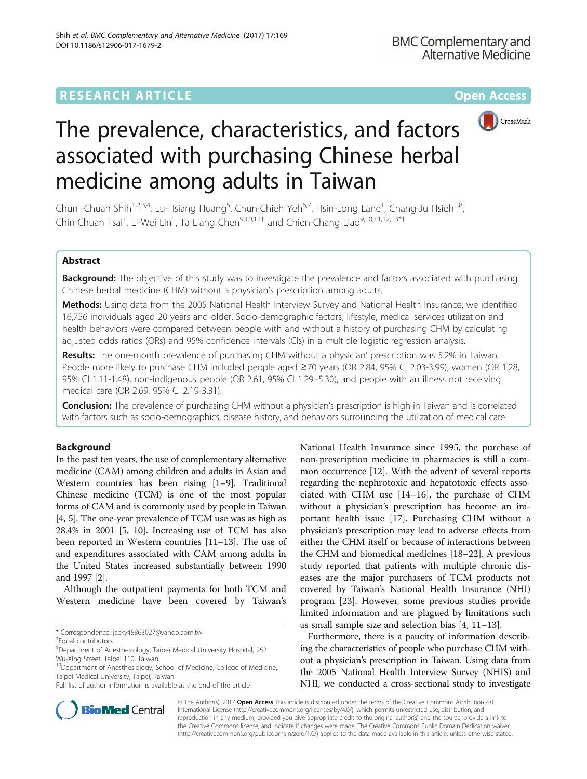## **RESEARCH ARTICLE Example 2014 12:30 The Contract of Contract ACCESS**



# The prevalence, characteristics, and factors associated with purchasing Chinese herbal medicine among adults in Taiwan

Chun -Chuan Shih<sup>1,2,3,4</sup>, Lu-Hsiang Huang<sup>5</sup>, Chun-Chieh Yeh<sup>6,7</sup>, Hsin-Long Lane<sup>1</sup>, Chang-Ju Hsieh<sup>1,8</sup>, Chin-Chuan Tsai<sup>1</sup>, Li-Wei Lin<sup>1</sup>, Ta-Liang Chen<sup>9,10,11†</sup> and Chien-Chang Liao<sup>9,10,11,12,13\*†</sup>

## Abstract

Background: The objective of this study was to investigate the prevalence and factors associated with purchasing Chinese herbal medicine (CHM) without a physician's prescription among adults.

Methods: Using data from the 2005 National Health Interview Survey and National Health Insurance, we identified 16,756 individuals aged 20 years and older. Socio-demographic factors, lifestyle, medical services utilization and health behaviors were compared between people with and without a history of purchasing CHM by calculating adjusted odds ratios (ORs) and 95% confidence intervals (CIs) in a multiple logistic regression analysis.

Results: The one-month prevalence of purchasing CHM without a physician' prescription was 5.2% in Taiwan. People more likely to purchase CHM included people aged ≥70 years (OR 2.84, 95% CI 2.03-3.99), women (OR 1.28, 95% CI 1.11-1.48), non-indigenous people (OR 2.61, 95% CI 1.29–5.30), and people with an illness not receiving medical care (OR 2.69, 95% CI 2.19-3.31).

**Conclusion:** The prevalence of purchasing CHM without a physician's prescription is high in Taiwan and is correlated with factors such as socio-demographics, disease history, and behaviors surrounding the utilization of medical care.

## Background

In the past ten years, the use of complementary alternative medicine (CAM) among children and adults in Asian and Western countries has been rising [[1](#page-6-0)–[9](#page-6-0)]. Traditional Chinese medicine (TCM) is one of the most popular forms of CAM and is commonly used by people in Taiwan [[4, 5](#page-6-0)]. The one-year prevalence of TCM use was as high as 28.4% in 2001 [[5, 10\]](#page-6-0). Increasing use of TCM has also been reported in Western countries [[11](#page-6-0)–[13\]](#page-6-0). The use of and expenditures associated with CAM among adults in the United States increased substantially between 1990 and 1997 [\[2\]](#page-6-0).

Although the outpatient payments for both TCM and Western medicine have been covered by Taiwan's

National Health Insurance since 1995, the purchase of non-prescription medicine in pharmacies is still a common occurrence [\[12](#page-6-0)]. With the advent of several reports regarding the nephrotoxic and hepatotoxic effects associated with CHM use [[14](#page-6-0)–[16](#page-6-0)], the purchase of CHM without a physician's prescription has become an important health issue [\[17](#page-6-0)]. Purchasing CHM without a physician's prescription may lead to adverse effects from either the CHM itself or because of interactions between the CHM and biomedical medicines [[18](#page-6-0)–[22](#page-6-0)]. A previous study reported that patients with multiple chronic diseases are the major purchasers of TCM products not covered by Taiwan's National Health Insurance (NHI) program [\[23](#page-6-0)]. However, some previous studies provide limited information and are plagued by limitations such as small sample size and selection bias [[4, 11](#page-6-0)–[13](#page-6-0)].

Furthermore, there is a paucity of information describing the characteristics of people who purchase CHM without a physician's prescription in Taiwan. Using data from the 2005 National Health Interview Survey (NHIS) and NHI, we conducted a cross-sectional study to investigate



© The Author(s). 2017 **Open Access** This article is distributed under the terms of the Creative Commons Attribution 4.0 International License [\(http://creativecommons.org/licenses/by/4.0/](http://creativecommons.org/licenses/by/4.0/)), which permits unrestricted use, distribution, and reproduction in any medium, provided you give appropriate credit to the original author(s) and the source, provide a link to the Creative Commons license, and indicate if changes were made. The Creative Commons Public Domain Dedication waiver [\(http://creativecommons.org/publicdomain/zero/1.0/](http://creativecommons.org/publicdomain/zero/1.0/)) applies to the data made available in this article, unless otherwise stated.

<sup>\*</sup> Correspondence: [jacky48863027@yahoo.com.tw](mailto:jacky48863027@yahoo.com.tw) †

Equal contributors

<sup>9</sup> Department of Anesthesiology, Taipei Medical University Hospital, 252 Wu-Xing Street, Taipei 110, Taiwan

<sup>&</sup>lt;sup>10</sup>Department of Anesthesiology, School of Medicine, College of Medicine, Taipei Medical University, Taipei, Taiwan

Full list of author information is available at the end of the article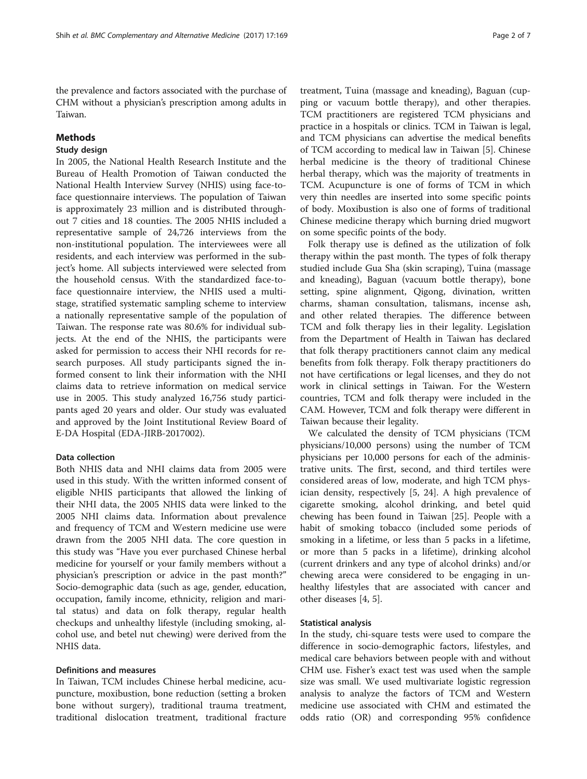the prevalence and factors associated with the purchase of CHM without a physician's prescription among adults in Taiwan.

## Methods

## Study design

In 2005, the National Health Research Institute and the Bureau of Health Promotion of Taiwan conducted the National Health Interview Survey (NHIS) using face-toface questionnaire interviews. The population of Taiwan is approximately 23 million and is distributed throughout 7 cities and 18 counties. The 2005 NHIS included a representative sample of 24,726 interviews from the non-institutional population. The interviewees were all residents, and each interview was performed in the subject's home. All subjects interviewed were selected from the household census. With the standardized face-toface questionnaire interview, the NHIS used a multistage, stratified systematic sampling scheme to interview a nationally representative sample of the population of Taiwan. The response rate was 80.6% for individual subjects. At the end of the NHIS, the participants were asked for permission to access their NHI records for research purposes. All study participants signed the informed consent to link their information with the NHI claims data to retrieve information on medical service use in 2005. This study analyzed 16,756 study participants aged 20 years and older. Our study was evaluated and approved by the Joint Institutional Review Board of E-DA Hospital (EDA-JIRB-2017002).

### Data collection

Both NHIS data and NHI claims data from 2005 were used in this study. With the written informed consent of eligible NHIS participants that allowed the linking of their NHI data, the 2005 NHIS data were linked to the 2005 NHI claims data. Information about prevalence and frequency of TCM and Western medicine use were drawn from the 2005 NHI data. The core question in this study was "Have you ever purchased Chinese herbal medicine for yourself or your family members without a physician's prescription or advice in the past month?" Socio-demographic data (such as age, gender, education, occupation, family income, ethnicity, religion and marital status) and data on folk therapy, regular health checkups and unhealthy lifestyle (including smoking, alcohol use, and betel nut chewing) were derived from the NHIS data.

## Definitions and measures

In Taiwan, TCM includes Chinese herbal medicine, acupuncture, moxibustion, bone reduction (setting a broken bone without surgery), traditional trauma treatment, traditional dislocation treatment, traditional fracture

treatment, Tuina (massage and kneading), Baguan (cupping or vacuum bottle therapy), and other therapies. TCM practitioners are registered TCM physicians and practice in a hospitals or clinics. TCM in Taiwan is legal, and TCM physicians can advertise the medical benefits of TCM according to medical law in Taiwan [[5\]](#page-6-0). Chinese herbal medicine is the theory of traditional Chinese herbal therapy, which was the majority of treatments in TCM. Acupuncture is one of forms of TCM in which very thin needles are inserted into some specific points of body. Moxibustion is also one of forms of traditional Chinese medicine therapy which burning dried mugwort on some specific points of the body.

Folk therapy use is defined as the utilization of folk therapy within the past month. The types of folk therapy studied include Gua Sha (skin scraping), Tuina (massage and kneading), Baguan (vacuum bottle therapy), bone setting, spine alignment, Qigong, divination, written charms, shaman consultation, talismans, incense ash, and other related therapies. The difference between TCM and folk therapy lies in their legality. Legislation from the Department of Health in Taiwan has declared that folk therapy practitioners cannot claim any medical benefits from folk therapy. Folk therapy practitioners do not have certifications or legal licenses, and they do not work in clinical settings in Taiwan. For the Western countries, TCM and folk therapy were included in the CAM. However, TCM and folk therapy were different in Taiwan because their legality.

We calculated the density of TCM physicians (TCM physicians/10,000 persons) using the number of TCM physicians per 10,000 persons for each of the administrative units. The first, second, and third tertiles were considered areas of low, moderate, and high TCM physician density, respectively [[5, 24\]](#page-6-0). A high prevalence of cigarette smoking, alcohol drinking, and betel quid chewing has been found in Taiwan [\[25](#page-6-0)]. People with a habit of smoking tobacco (included some periods of smoking in a lifetime, or less than 5 packs in a lifetime, or more than 5 packs in a lifetime), drinking alcohol (current drinkers and any type of alcohol drinks) and/or chewing areca were considered to be engaging in unhealthy lifestyles that are associated with cancer and other diseases [[4, 5\]](#page-6-0).

## Statistical analysis

In the study, chi-square tests were used to compare the difference in socio-demographic factors, lifestyles, and medical care behaviors between people with and without CHM use. Fisher's exact test was used when the sample size was small. We used multivariate logistic regression analysis to analyze the factors of TCM and Western medicine use associated with CHM and estimated the odds ratio (OR) and corresponding 95% confidence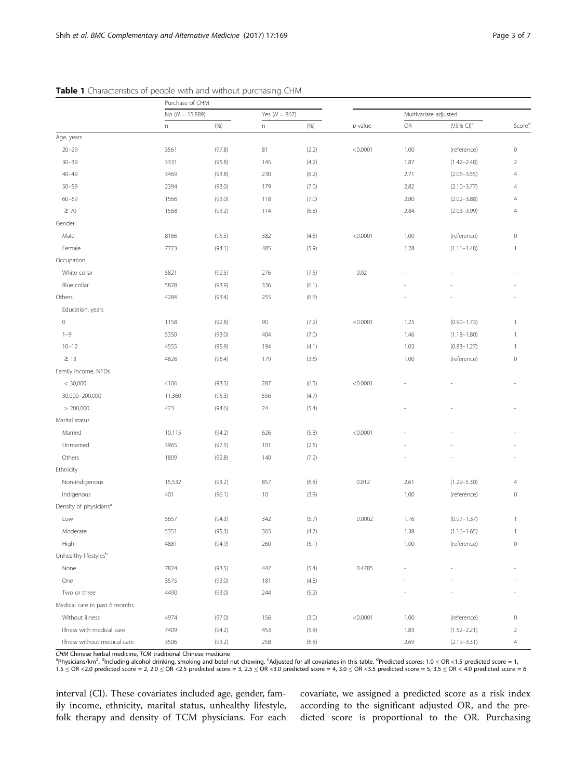|                                    | Purchase of CHM     |        |                   |       |            |                       |                       |                    |
|------------------------------------|---------------------|--------|-------------------|-------|------------|-----------------------|-----------------------|--------------------|
|                                    | No ( $N = 15,889$ ) |        | Yes ( $N = 867$ ) |       |            | Multivariate adjusted |                       |                    |
|                                    | n                   | (96)   | n                 | (% )  | $p$ -value | OR                    | $(95\% \text{ Cl})^c$ | Score <sup>d</sup> |
| Age, years                         |                     |        |                   |       |            |                       |                       |                    |
| $20 - 29$                          | 3561                | (97.8) | 81                | (2.2) | < 0.0001   | 1.00                  | (reference)           | $\,0\,$            |
| $30 - 39$                          | 3331                | (95.8) | 145               | (4.2) |            | 1.87                  | $(1.42 - 2.48)$       | $\overline{2}$     |
| $40 - 49$                          | 3469                | (93.8) | 230               | (6.2) |            | 2.71                  | $(2.06 - 3.55)$       | $\overline{4}$     |
| $50 - 59$                          | 2394                | (93.0) | 179               | (7.0) |            | 2.82                  | $(2.10 - 3.77)$       | 4                  |
| $60 - 69$                          | 1566                | (93.0) | 118               | (7.0) |            | 2.80                  | $(2.02 - 3.88)$       | $\overline{4}$     |
| $\geq 70$                          | 1568                | (93.2) | 114               | (6.8) |            | 2.84                  | $(2.03 - 3.99)$       | 4                  |
| Gender                             |                     |        |                   |       |            |                       |                       |                    |
| Male                               | 8166                | (95.5) | 382               | (4.5) | < 0.0001   | 1.00                  | (reference)           | $\mathbf 0$        |
| Female                             | 7723                | (94.1) | 485               | (5.9) |            | 1.28                  | $(1.11 - 1.48)$       | $\mathbf{1}$       |
| Occupation                         |                     |        |                   |       |            |                       |                       |                    |
| White collar                       | 5821                | (92.5) | 276               | (7.5) | 0.02       |                       |                       |                    |
| Blue collar                        | 5828                | (93.9) | 336               | (6.1) |            |                       |                       |                    |
| Others                             | 4284                | (93.4) | 255               | (6.6) |            |                       |                       |                    |
| Education, years                   |                     |        |                   |       |            |                       |                       |                    |
| $\circ$                            | 1158                | (92.8) | 90                | (7.2) | < 0.0001   | 1.25                  | $(0.90 - 1.73)$       | $\mathbf{1}$       |
| $1 - 9$                            | 5350                | (93.0) | 404               | (7.0) |            | 1.46                  | $(1.18 - 1.80)$       | 1                  |
| $10 - 12$                          | 4555                | (95.9) | 194               | (4.1) |            | 1.03                  | $(0.83 - 1.27)$       | $\mathbf{1}$       |
| $\geq$ 13                          | 4826                | (96.4) | 179               | (3.6) |            | 1.00                  | (reference)           | $\mathbf 0$        |
| Family income, NTDs                |                     |        |                   |       |            |                       |                       |                    |
| < 30,000                           | 4106                | (93.5) | 287               | (6.5) | < 0.0001   |                       |                       |                    |
| 30,000-200,000                     | 11,360              | (95.3) | 556               | (4.7) |            |                       |                       |                    |
| > 200,000                          | 423                 | (94.6) | 24                | (5.4) |            |                       |                       |                    |
| Marital status                     |                     |        |                   |       |            |                       |                       |                    |
| Married                            | 10,115              | (94.2) | 626               | (5.8) | < 0.0001   |                       |                       |                    |
| Unmarried                          | 3965                | (97.5) | 101               | (2.5) |            |                       |                       |                    |
| Others                             | 1809                | (92.8) | 140               | (7.2) |            |                       |                       |                    |
| Ethnicity                          |                     |        |                   |       |            |                       |                       |                    |
| Non-indigenous                     | 15,532              | (93.2) | 857               | (6.8) | 0.012      | 2.61                  | $(1.29 - 5.30)$       | $\overline{4}$     |
| Indigenous                         | 401                 | (96.1) | 10                | (3.9) |            | 1.00                  | (reference)           | $\,0\,$            |
| Density of physicians <sup>a</sup> |                     |        |                   |       |            |                       |                       |                    |
| Low                                | 5657                | (94.3) | 342               | (5.7) | 0.0002     | 1.16                  | $(0.97 - 1.37)$       | 1                  |
| Moderate                           | 5351                | (95.3) | 365               | (4.7) |            | 1.38                  | $(1.16 - 1.65)$       | $\mathbf{1}$       |
| High                               | 4881                | (94.9) | 260               | (5.1) |            | 1.00                  | (reference)           | $\,0\,$            |
| Unhealthy lifestylesb              |                     |        |                   |       |            |                       |                       |                    |
| None                               | 7824                | (93.5) | 442               | (5.4) | 0.4785     |                       |                       |                    |
| One                                | 3575                | (93.0) | 181               | (4.8) |            |                       |                       |                    |
| Two or three                       | 4490                | (93.0) | 244               | (5.2) |            |                       |                       |                    |
| Medical care in past 6 months      |                     |        |                   |       |            |                       |                       |                    |
| Without illness                    | 4974                | (97.0) | 156               | (3.0) | < 0.0001   | 1.00                  | (reference)           | $\mathbf 0$        |
| Illness with medical care          | 7409                | (94.2) | 453               | (5.8) |            | 1.83                  | $(1.52 - 2.21)$       | $\overline{2}$     |
| Illness without medical care       | 3506                | (93.2) | 258               | (6.8) |            | 2.69                  | $(2.19 - 3.31)$       | $\overline{4}$     |

<span id="page-2-0"></span>Table 1 Characteristics of people with and without purchasing CHM

CHM Chinese herbal medicine, TCM traditional Chinese medicine

Physicians/km<sup>2</sup>. <sup>b</sup>Including alcohol drinking, smoking and betel nut chewing. <sup>c</sup>Adjusted for all covariates in this table. <sup>d</sup>Predicted scores: 1.0 ≤ OR <1.5 predicted score = 1, 1.5 ≤ OR <2.0 predicted score = 2, 2.0 ≤ OR <2.5 predicted score = 3, 2.5 ≤ OR <3.0 predicted score = 4, 3.0 ≤ OR <3.5 predicted score = 5, 3.5 ≤ OR < 4.0 predicted score = 6

interval (CI). These covariates included age, gender, family income, ethnicity, marital status, unhealthy lifestyle, folk therapy and density of TCM physicians. For each covariate, we assigned a predicted score as a risk index according to the significant adjusted OR, and the predicted score is proportional to the OR. Purchasing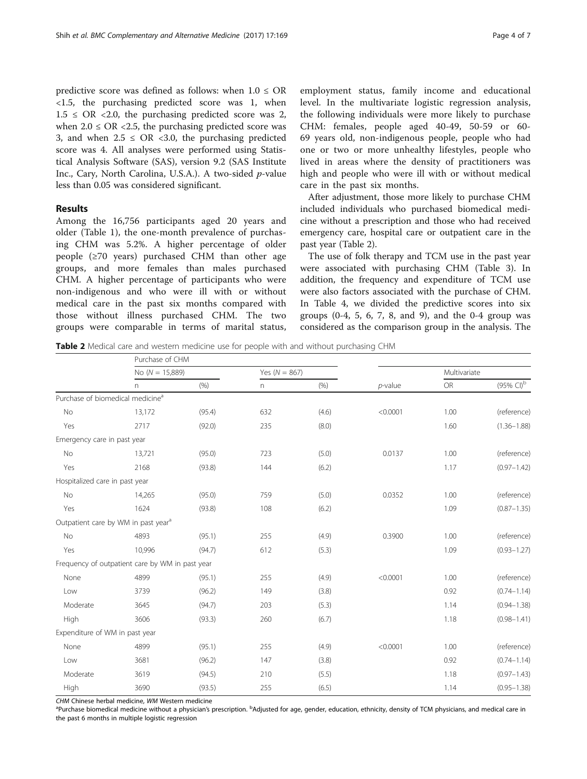predictive score was defined as follows: when  $1.0 \leq OR$ <1.5, the purchasing predicted score was 1, when  $1.5 \leq \text{OR} \leq 2.0$ , the purchasing predicted score was 2, when  $2.0 \leq \text{OR} < 2.5$ , the purchasing predicted score was 3, and when  $2.5 \leq OR \leq 3.0$ , the purchasing predicted score was 4. All analyses were performed using Statistical Analysis Software (SAS), version 9.2 (SAS Institute Inc., Cary, North Carolina, U.S.A.). A two-sided p-value less than 0.05 was considered significant.

## Results

Among the 16,756 participants aged 20 years and older (Table [1\)](#page-2-0), the one-month prevalence of purchasing CHM was 5.2%. A higher percentage of older people (≥70 years) purchased CHM than other age groups, and more females than males purchased CHM. A higher percentage of participants who were non-indigenous and who were ill with or without medical care in the past six months compared with those without illness purchased CHM. The two groups were comparable in terms of marital status, employment status, family income and educational level. In the multivariate logistic regression analysis, the following individuals were more likely to purchase CHM: females, people aged 40-49, 50-59 or 60- 69 years old, non-indigenous people, people who had one or two or more unhealthy lifestyles, people who lived in areas where the density of practitioners was high and people who were ill with or without medical care in the past six months.

After adjustment, those more likely to purchase CHM included individuals who purchased biomedical medicine without a prescription and those who had received emergency care, hospital care or outpatient care in the past year (Table 2).

The use of folk therapy and TCM use in the past year were associated with purchasing CHM (Table [3](#page-4-0)). In addition, the frequency and expenditure of TCM use were also factors associated with the purchase of CHM. In Table [4](#page-4-0), we divided the predictive scores into six groups  $(0-4, 5, 6, 7, 8, and 9)$ , and the  $0-4$  group was considered as the comparison group in the analysis. The

Table 2 Medical care and western medicine use for people with and without purchasing CHM

|                                              |                                                 | Purchase of CHM     |     |                   |            |              |                          |
|----------------------------------------------|-------------------------------------------------|---------------------|-----|-------------------|------------|--------------|--------------------------|
|                                              |                                                 | No ( $N = 15,889$ ) |     | Yes ( $N = 867$ ) |            | Multivariate |                          |
|                                              | n                                               | (% )                | n   | (% )              | $p$ -value | <b>OR</b>    | $(95\%$ CI) <sup>b</sup> |
| Purchase of biomedical medicine <sup>a</sup> |                                                 |                     |     |                   |            |              |                          |
| No                                           | 13,172                                          | (95.4)              | 632 | (4.6)             | < 0.0001   | 1.00         | (reference)              |
| Yes                                          | 2717                                            | (92.0)              | 235 | (8.0)             |            | 1.60         | $(1.36 - 1.88)$          |
| Emergency care in past year                  |                                                 |                     |     |                   |            |              |                          |
| No                                           | 13,721                                          | (95.0)              | 723 | (5.0)             | 0.0137     | 1.00         | (reference)              |
| Yes                                          | 2168                                            | (93.8)              | 144 | (6.2)             |            | 1.17         | $(0.97 - 1.42)$          |
| Hospitalized care in past year               |                                                 |                     |     |                   |            |              |                          |
| No                                           | 14,265                                          | (95.0)              | 759 | (5.0)             | 0.0352     | 1.00         | (reference)              |
| Yes                                          | 1624                                            | (93.8)              | 108 | (6.2)             |            | 1.09         | $(0.87 - 1.35)$          |
|                                              | Outpatient care by WM in past year <sup>a</sup> |                     |     |                   |            |              |                          |
| No                                           | 4893                                            | (95.1)              | 255 | (4.9)             | 0.3900     | 1.00         | (reference)              |
| Yes                                          | 10,996                                          | (94.7)              | 612 | (5.3)             |            | 1.09         | $(0.93 - 1.27)$          |
|                                              | Frequency of outpatient care by WM in past year |                     |     |                   |            |              |                          |
| None                                         | 4899                                            | (95.1)              | 255 | (4.9)             | < 0.0001   | 1.00         | (reference)              |
| Low                                          | 3739                                            | (96.2)              | 149 | (3.8)             |            | 0.92         | $(0.74 - 1.14)$          |
| Moderate                                     | 3645                                            | (94.7)              | 203 | (5.3)             |            | 1.14         | $(0.94 - 1.38)$          |
| High                                         | 3606                                            | (93.3)              | 260 | (6.7)             |            | 1.18         | $(0.98 - 1.41)$          |
| Expenditure of WM in past year               |                                                 |                     |     |                   |            |              |                          |
| None                                         | 4899                                            | (95.1)              | 255 | (4.9)             | < 0.0001   | 1.00         | (reference)              |
| Low                                          | 3681                                            | (96.2)              | 147 | (3.8)             |            | 0.92         | $(0.74 - 1.14)$          |
| Moderate                                     | 3619                                            | (94.5)              | 210 | (5.5)             |            | 1.18         | $(0.97 - 1.43)$          |
| High                                         | 3690                                            | (93.5)              | 255 | (6.5)             |            | 1.14         | $(0.95 - 1.38)$          |

CHM Chinese herbal medicine, WM Western medicine

Purchase biomedical medicine without a physician's prescription. <sup>b</sup>Adjusted for age, gender, education, ethnicity, density of TCM physicians, and medical care in the past 6 months in multiple logistic regression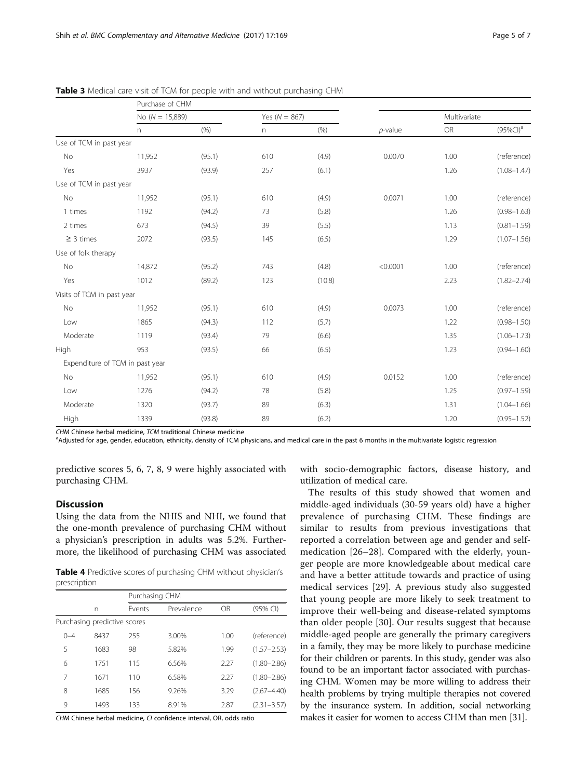|                                 |        | Purchase of CHM   |              |                   |            |              |                 |
|---------------------------------|--------|-------------------|--------------|-------------------|------------|--------------|-----------------|
|                                 |        | No $(N = 15.889)$ |              | Yes ( $N = 867$ ) |            | Multivariate |                 |
|                                 | n      | (% )              | $\mathsf{n}$ | (% )              | $p$ -value | OR           | $(95\%CI)^a$    |
| Use of TCM in past year         |        |                   |              |                   |            |              |                 |
| No                              | 11,952 | (95.1)            | 610          | (4.9)             | 0.0070     | 1.00         | (reference)     |
| Yes                             | 3937   | (93.9)            | 257          | (6.1)             |            | 1.26         | $(1.08 - 1.47)$ |
| Use of TCM in past year         |        |                   |              |                   |            |              |                 |
| No                              | 11,952 | (95.1)            | 610          | (4.9)             | 0.0071     | 1.00         | (reference)     |
| 1 times                         | 1192   | (94.2)            | 73           | (5.8)             |            | 1.26         | $(0.98 - 1.63)$ |
| 2 times                         | 673    | (94.5)            | 39           | (5.5)             |            | 1.13         | $(0.81 - 1.59)$ |
| $\geq$ 3 times                  | 2072   | (93.5)            | 145          | (6.5)             |            | 1.29         | $(1.07 - 1.56)$ |
| Use of folk therapy             |        |                   |              |                   |            |              |                 |
| No                              | 14,872 | (95.2)            | 743          | (4.8)             | < 0.0001   | 1.00         | (reference)     |
| Yes                             | 1012   | (89.2)            | 123          | (10.8)            |            | 2.23         | $(1.82 - 2.74)$ |
| Visits of TCM in past year      |        |                   |              |                   |            |              |                 |
| No                              | 11,952 | (95.1)            | 610          | (4.9)             | 0.0073     | 1.00         | (reference)     |
| Low                             | 1865   | (94.3)            | 112          | (5.7)             |            | 1.22         | $(0.98 - 1.50)$ |
| Moderate                        | 1119   | (93.4)            | 79           | (6.6)             |            | 1.35         | $(1.06 - 1.73)$ |
| High                            | 953    | (93.5)            | 66           | (6.5)             |            | 1.23         | $(0.94 - 1.60)$ |
| Expenditure of TCM in past year |        |                   |              |                   |            |              |                 |
| No                              | 11,952 | (95.1)            | 610          | (4.9)             | 0.0152     | 1.00         | (reference)     |
| Low                             | 1276   | (94.2)            | 78           | (5.8)             |            | 1.25         | $(0.97 - 1.59)$ |
| Moderate                        | 1320   | (93.7)            | 89           | (6.3)             |            | 1.31         | $(1.04 - 1.66)$ |
| High                            | 1339   | (93.8)            | 89           | (6.2)             |            | 1.20         | $(0.95 - 1.52)$ |

<span id="page-4-0"></span>Table 3 Medical care visit of TCM for people with and without purchasing CHM

CHM Chinese herbal medicine, TCM traditional Chinese medicine

<sup>a</sup>Adjusted for age, gender, education, ethnicity, density of TCM physicians, and medical care in the past 6 months in the multivariate logistic regression

predictive scores 5, 6, 7, 8, 9 were highly associated with purchasing CHM.

with socio-demographic factors, disease history, and utilization of medical care.

## **Discussion**

Using the data from the NHIS and NHI, we found that the one-month prevalence of purchasing CHM without a physician's prescription in adults was 5.2%. Furthermore, the likelihood of purchasing CHM was associated

Table 4 Predictive scores of purchasing CHM without physician's prescription

|                              |      |               | Purchasing CHM |           |                 |  |  |  |  |
|------------------------------|------|---------------|----------------|-----------|-----------------|--|--|--|--|
|                              | n    | <b>Fvents</b> | Prevalence     | <b>OR</b> | (95% CI)        |  |  |  |  |
| Purchasing predictive scores |      |               |                |           |                 |  |  |  |  |
| $() - 4$                     | 8437 | 255           | 3.00%          | 1.00      | (reference)     |  |  |  |  |
| 5                            | 1683 | 98            | 5.82%          | 1.99      | $(1.57 - 2.53)$ |  |  |  |  |
| 6                            | 1751 | 115           | 6.56%          | 2.27      | $(1.80 - 2.86)$ |  |  |  |  |
| 7                            | 1671 | 110           | 6.58%          | 2.27      | $(1.80 - 2.86)$ |  |  |  |  |
| 8                            | 1685 | 156           | 9.26%          | 3.29      | $(2.67 - 4.40)$ |  |  |  |  |
| 9                            | 1493 | 133           | 8.91%          | 2.87      | $(2.31 - 3.57)$ |  |  |  |  |

CHM Chinese herbal medicine, CI confidence interval, OR, odds ratio

The results of this study showed that women and middle-aged individuals (30-59 years old) have a higher prevalence of purchasing CHM. These findings are similar to results from previous investigations that reported a correlation between age and gender and selfmedication [\[26](#page-6-0)–[28](#page-6-0)]. Compared with the elderly, younger people are more knowledgeable about medical care and have a better attitude towards and practice of using medical services [\[29](#page-6-0)]. A previous study also suggested that young people are more likely to seek treatment to improve their well-being and disease-related symptoms than older people [\[30](#page-6-0)]. Our results suggest that because middle-aged people are generally the primary caregivers in a family, they may be more likely to purchase medicine for their children or parents. In this study, gender was also found to be an important factor associated with purchasing CHM. Women may be more willing to address their health problems by trying multiple therapies not covered by the insurance system. In addition, social networking makes it easier for women to access CHM than men [\[31\]](#page-6-0).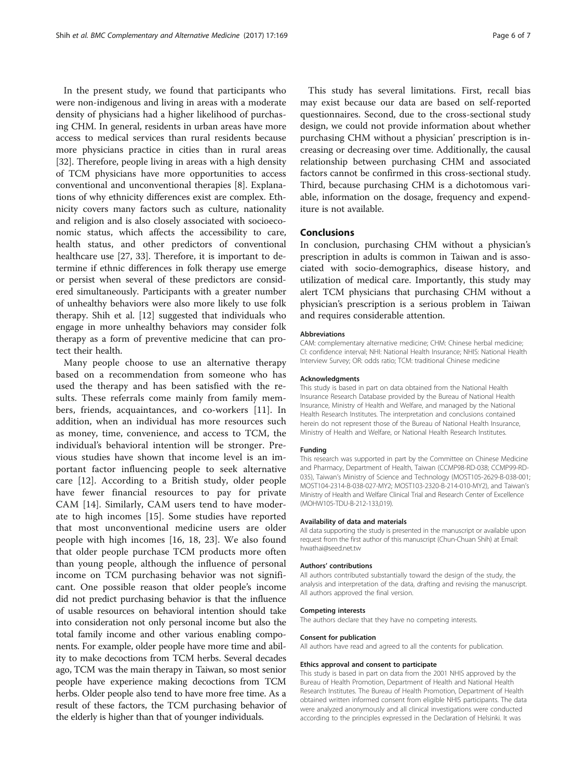In the present study, we found that participants who were non-indigenous and living in areas with a moderate density of physicians had a higher likelihood of purchasing CHM. In general, residents in urban areas have more access to medical services than rural residents because more physicians practice in cities than in rural areas [[32\]](#page-6-0). Therefore, people living in areas with a high density of TCM physicians have more opportunities to access conventional and unconventional therapies [\[8\]](#page-6-0). Explanations of why ethnicity differences exist are complex. Ethnicity covers many factors such as culture, nationality and religion and is also closely associated with socioeconomic status, which affects the accessibility to care, health status, and other predictors of conventional healthcare use [\[27](#page-6-0), [33\]](#page-6-0). Therefore, it is important to determine if ethnic differences in folk therapy use emerge or persist when several of these predictors are considered simultaneously. Participants with a greater number of unhealthy behaviors were also more likely to use folk therapy. Shih et al. [\[12\]](#page-6-0) suggested that individuals who engage in more unhealthy behaviors may consider folk therapy as a form of preventive medicine that can protect their health.

Many people choose to use an alternative therapy based on a recommendation from someone who has used the therapy and has been satisfied with the results. These referrals come mainly from family members, friends, acquaintances, and co-workers [[11\]](#page-6-0). In addition, when an individual has more resources such as money, time, convenience, and access to TCM, the individual's behavioral intention will be stronger. Previous studies have shown that income level is an important factor influencing people to seek alternative care [\[12](#page-6-0)]. According to a British study, older people have fewer financial resources to pay for private CAM [\[14](#page-6-0)]. Similarly, CAM users tend to have moderate to high incomes [[15](#page-6-0)]. Some studies have reported that most unconventional medicine users are older people with high incomes [[16, 18](#page-6-0), [23\]](#page-6-0). We also found that older people purchase TCM products more often than young people, although the influence of personal income on TCM purchasing behavior was not significant. One possible reason that older people's income did not predict purchasing behavior is that the influence of usable resources on behavioral intention should take into consideration not only personal income but also the total family income and other various enabling components. For example, older people have more time and ability to make decoctions from TCM herbs. Several decades ago, TCM was the main therapy in Taiwan, so most senior people have experience making decoctions from TCM herbs. Older people also tend to have more free time. As a result of these factors, the TCM purchasing behavior of the elderly is higher than that of younger individuals.

This study has several limitations. First, recall bias may exist because our data are based on self-reported questionnaires. Second, due to the cross-sectional study design, we could not provide information about whether purchasing CHM without a physician' prescription is increasing or decreasing over time. Additionally, the causal relationship between purchasing CHM and associated factors cannot be confirmed in this cross-sectional study. Third, because purchasing CHM is a dichotomous variable, information on the dosage, frequency and expenditure is not available.

#### Conclusions

In conclusion, purchasing CHM without a physician's prescription in adults is common in Taiwan and is associated with socio-demographics, disease history, and utilization of medical care. Importantly, this study may alert TCM physicians that purchasing CHM without a physician's prescription is a serious problem in Taiwan and requires considerable attention.

#### Abbreviations

CAM: complementary alternative medicine; CHM: Chinese herbal medicine; CI: confidence interval; NHI: National Health Insurance; NHIS: National Health Interview Survey; OR: odds ratio; TCM: traditional Chinese medicine

#### Acknowledgments

This study is based in part on data obtained from the National Health Insurance Research Database provided by the Bureau of National Health Insurance, Ministry of Health and Welfare, and managed by the National Health Research Institutes. The interpretation and conclusions contained herein do not represent those of the Bureau of National Health Insurance, Ministry of Health and Welfare, or National Health Research Institutes.

#### Funding

This research was supported in part by the Committee on Chinese Medicine and Pharmacy, Department of Health, Taiwan (CCMP98-RD-038; CCMP99-RD-035), Taiwan's Ministry of Science and Technology (MOST105-2629-B-038-001; MOST104-2314-B-038-027-MY2; MOST103-2320-B-214-010-MY2), and Taiwan's Ministry of Health and Welfare Clinical Trial and Research Center of Excellence (MOHW105-TDU-B-212-133,019).

#### Availability of data and materials

All data supporting the study is presented in the manuscript or available upon request from the first author of this manuscript (Chun-Chuan Shih) at Email: hwathai@seed.net.tw

#### Authors' contributions

All authors contributed substantially toward the design of the study, the analysis and interpretation of the data, drafting and revising the manuscript. All authors approved the final version.

#### Competing interests

The authors declare that they have no competing interests.

#### Consent for publication

All authors have read and agreed to all the contents for publication.

#### Ethics approval and consent to participate

This study is based in part on data from the 2001 NHIS approved by the Bureau of Health Promotion, Department of Health and National Health Research Institutes. The Bureau of Health Promotion, Department of Health obtained written informed consent from eligible NHIS participants. The data were analyzed anonymously and all clinical investigations were conducted according to the principles expressed in the Declaration of Helsinki. It was